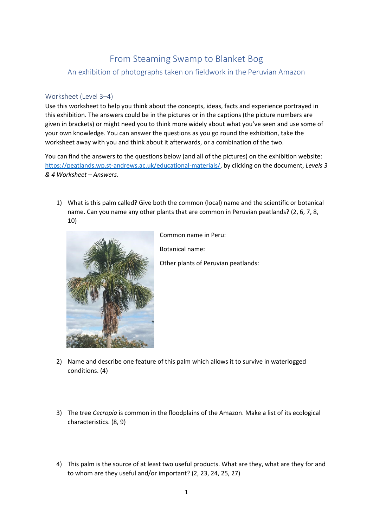## From Steaming Swamp to Blanket Bog

An exhibition of photographs taken on fieldwork in the Peruvian Amazon

## Worksheet (Level 3–4)

Use this worksheet to help you think about the concepts, ideas, facts and experience portrayed in this exhibition. The answers could be in the pictures or in the captions (the picture numbers are given in brackets) or might need you to think more widely about what you've seen and use some of your own knowledge. You can answer the questions as you go round the exhibition, take the worksheet away with you and think about it afterwards, or a combination of the two.

You can find the answers to the questions below (and all of the pictures) on the exhibition website: [https://peatlands.wp.st-andrews.ac.uk/educational-materials/,](https://peatlands.wp.st-andrews.ac.uk/educational-materials/) by clicking on the document, *Levels 3 & 4 Worksheet – Answers*.

1) What is this palm called? Give both the common (local) name and the scientific or botanical name. Can you name any other plants that are common in Peruvian peatlands? (2, 6, 7, 8, 10)



Common name in Peru: Botanical name: Other plants of Peruvian peatlands:

- 2) Name and describe one feature of this palm which allows it to survive in waterlogged conditions. (4)
- 3) The tree *Cecropia* is common in the floodplains of the Amazon. Make a list of its ecological characteristics. (8, 9)
- 4) This palm is the source of at least two useful products. What are they, what are they for and to whom are they useful and/or important? (2, 23, 24, 25, 27)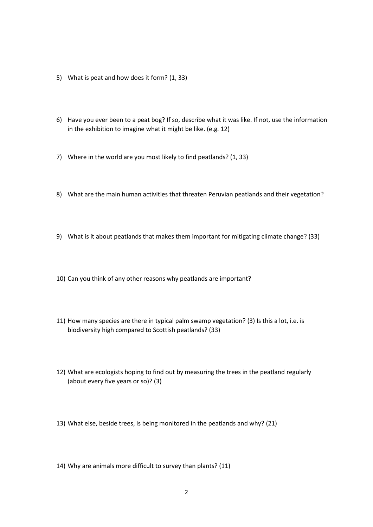- 5) What is peat and how does it form? (1, 33)
- 6) Have you ever been to a peat bog? If so, describe what it was like. If not, use the information in the exhibition to imagine what it might be like. (e.g. 12)
- 7) Where in the world are you most likely to find peatlands? (1, 33)
- 8) What are the main human activities that threaten Peruvian peatlands and their vegetation?
- 9) What is it about peatlands that makes them important for mitigating climate change? (33)
- 10) Can you think of any other reasons why peatlands are important?
- 11) How many species are there in typical palm swamp vegetation? (3) Is this a lot, i.e. is biodiversity high compared to Scottish peatlands? (33)
- 12) What are ecologists hoping to find out by measuring the trees in the peatland regularly (about every five years or so)? (3)
- 13) What else, beside trees, is being monitored in the peatlands and why? (21)
- 14) Why are animals more difficult to survey than plants? (11)